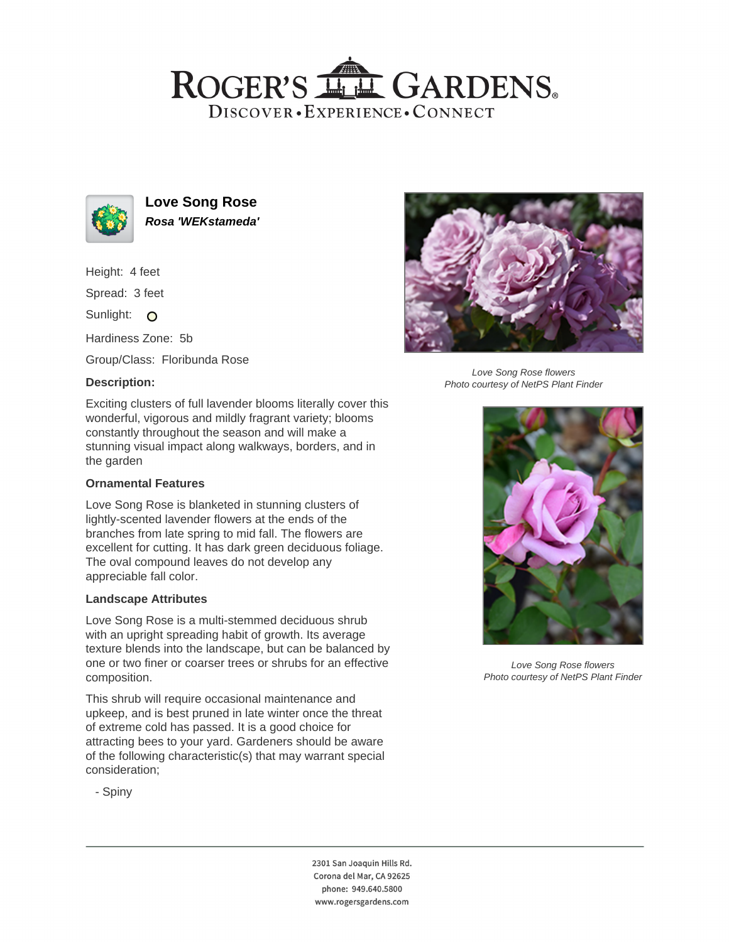# ROGER'S LL GARDENS. DISCOVER · EXPERIENCE · CONNECT



**Love Song Rose Rosa 'WEKstameda'**

Height: 4 feet

Spread: 3 feet

Sunlight: O

Hardiness Zone: 5b

Group/Class: Floribunda Rose

## **Description:**



Love Song Rose flowers Photo courtesy of NetPS Plant Finder

Exciting clusters of full lavender blooms literally cover this wonderful, vigorous and mildly fragrant variety; blooms constantly throughout the season and will make a stunning visual impact along walkways, borders, and in the garden

### **Ornamental Features**

Love Song Rose is blanketed in stunning clusters of lightly-scented lavender flowers at the ends of the branches from late spring to mid fall. The flowers are excellent for cutting. It has dark green deciduous foliage. The oval compound leaves do not develop any appreciable fall color.

### **Landscape Attributes**

Love Song Rose is a multi-stemmed deciduous shrub with an upright spreading habit of growth. Its average texture blends into the landscape, but can be balanced by one or two finer or coarser trees or shrubs for an effective composition.

This shrub will require occasional maintenance and upkeep, and is best pruned in late winter once the threat of extreme cold has passed. It is a good choice for attracting bees to your yard. Gardeners should be aware of the following characteristic(s) that may warrant special consideration;



Love Song Rose flowers Photo courtesy of NetPS Plant Finder

- Spiny

2301 San Joaquin Hills Rd. Corona del Mar, CA 92625 phone: 949.640.5800 www.rogersgardens.com